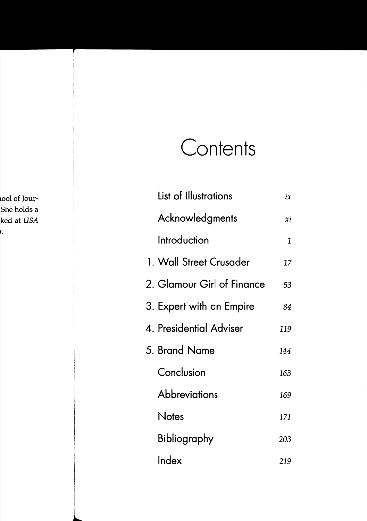# **Contents**

| List of Illustrations      | ix           |
|----------------------------|--------------|
| Acknowledgments            | хi           |
| Introduction               | $\mathbf{1}$ |
| 1. Wall Street Crusader    | 17           |
| 2. Glamour Girl of Finance | 53           |
| 3. Expert with an Empire   | 84           |
| 4. Presidential Adviser    | 119          |
| 5. Brand Name              | 144          |
| Conclusion                 | 163          |
| <b>Abbreviations</b>       | 169          |
| <b>Notes</b>               | 171          |
| Bibliography               | 203          |
| Index                      | 219          |

L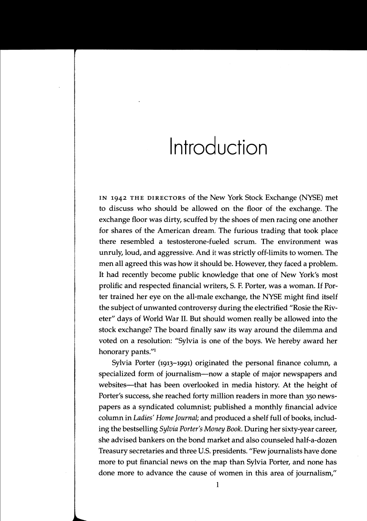## **Introduction**

IN 1942 THE DIRECTORS of the New York Stock Exchange (NYSE) met to discuss who should be allowed on the floor of the exchange. The exchange floor was dirty, scuffed by the shoes of men racing one another for shares of the American dream. The furious trading that took place there resembled a testosterone-fueled serum. The environment was unruly, loud, and aggressive. And it was strictly off-limits to women. The men all agreed this was how it should be. However, they faced a problem. It had recently become public knowledge that one of New York's most prolific and respected financial writers, S. F. Porter, was a woman. If Porter trained her eye on the all-male exchange, the NYSE might find itself the subject of unwanted controversy during the electrified "Rosie the Riveter" days of World War II. But should women really be allowed into the stock exchange? The board finally saw its way around the dilemma and voted on a resolution: "Sylvia is one of the boys. We hereby award her honorary pants."1

Sylvia Porter (1913-1991) originated the personal finance column, a specialized form of journalism-now a staple of major newspapers and websites-that has been overlooked in media history. At the height of Porter's success, she reached forty million readers in more than 350 newspapers as a syndicated columnist; published a monthly financial advice column in *Ladies' Home Journal;* and produced a shelf full of books, including the bestselling *Sylvia Porter's Money Book.* During her sixty-year career, she advised bankers on the bond market and also counseled half-a-dozen Treasury secretaries and three U.S. presidents. "Few journalists have done more to put financial news on the map than Sylvia Porter, and none has done more to advance the cause of women in this area of journalism,"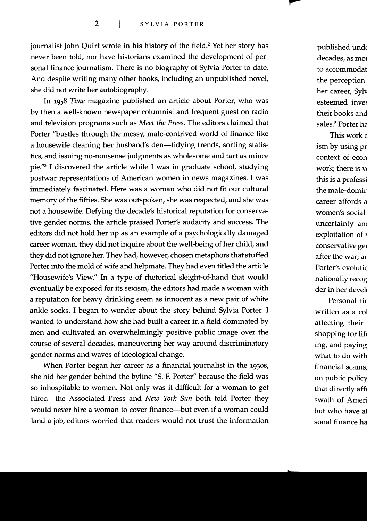journalist John Quirt wrote in his history of the field.<sup>2</sup> Yet her story has never been told, nor have historians examined the development of personal finance journalism. There is no biography of Sylvia Porter to date. And despite writing many other books, including an unpublished novel, she did not write her autobiography.

In 1958 *Time* magazine published an article about Porter, who was by then a well-known newspaper columnist and frequent guest on radio and television programs such as *Meet the Press.* The editors claimed that Porter "bustles through the messy, male-contrived world of finance like a housewife cleaning her husband's den-tidying trends, sorting statistics, and issuing no-nonsense judgments as wholesome and tart as mince pie."3 I discovered the article while I was in graduate school, studying postwar representations of American women in news magazines. I was immediately fascinated. Here was a woman who did not fit our cultural memory of the fifties. She was outspoken, she was respected, and she was not a housewife. Defying the decade's historical reputation for conservative gender norms, the article praised Porter's audacity and success. The editors did not hold her up as an example of a psychologically damaged career woman, they did not inquire about the well-being of her child, and they did not ignore her. They had, however, chosen metaphors that stuffed Porter into the mold of wife and helpmate. They had even titled the article "Housewife's View." In a type of rhetorical sleight-of-hand that would eventually be exposed for its sexism, the editors had made a woman with a reputation for heavy drinking seem as innocent as a new pair of white ankle socks. I began to wonder about the story behind Sylvia Porter. I wanted to understand how she had built a career in a field dominated by men and cultivated an overwhelmingly positive public image over the course of several decades, maneuvering her way around discriminatory gender norms and waves of ideological change.

When Porter began her career as a financial journalist in the 1930S, she hid her gender behind the byline "S. F. Porter" because the field was so inhospitable to women. Not only was it difficult for a woman to get hired-the Associated Press and *New York Sun* both told Porter they would never hire a woman to cover finance-but even if a woman could land a job, editors worried that readers would not trust the information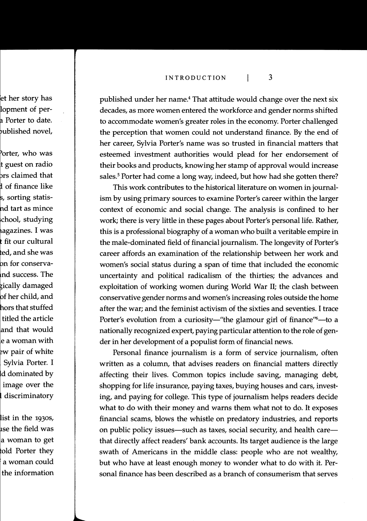published under her name.<sup>4</sup> That attitude would change over the next six decades, as more women entered the workforce and gender norms shifted to accommodate women's greater roles in the economy. Porter challenged the perception that women could not understand finance. By the end of her career, Sylvia Porter's name was so trusted in financial matters that esteemed investment authorities would plead for her endorsement of their books and products, knowing her stamp of approval would increase sales.<sup>5</sup> Porter had come a long way, indeed, but how had she gotten there?

This work contributes to the historical literature on women in journalism by using primary sources to examine Porter's career within the larger context of economic and social change. The analysis is confined to her work; there is very little in these pages about Porter's personal life. Rather, this is a professional biography of a woman who built a veritable empire in the male-dominated field of financial journalism. The longevity of Porter's career affords an examination of the relationship between her work and women's social status during a span of time that included the economic uncertainty and political radicalism of the thirties; the advances and exploitation of working women during World War II; the clash between conservative gender norms and women's increasing roles outside the home after the war; and the feminist activism of the sixties and seventies. I trace Porter's evolution from a curiosity—"the glamour girl of finance"<sup>6</sup>—to a nationally recognized expert, paying particular attention to the role of gender in her development of a populist form of financial news.

Personal finance journalism is a form of service journalism, often written as a column, that advises readers on financial matters directly affecting their lives. Common topics include saving, managing debt, shopping for life insurance, paying taxes, buying houses and cars, investing, and paying for college. This type of journalism helps readers decide what to do with their money and warns them what not to do. It exposes financial scams, blows the whistle on predatory industries, and reports on public policy issues-such as taxes, social security, and health carethat directly affect readers' bank accounts. Its target audience is the large swath of Americans in the middle class: people who are not wealthy, but who have at least enough money to wonder what to do with it. Personal finance has been described as a branch of consumerism that serves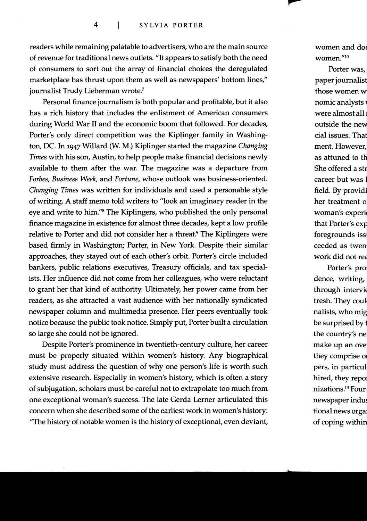readers while remaining palatable to advertisers, who are the main source of revenue for traditional news outlets. "It appears to satisfy both the need of consumers to sort out the array of financial choices the deregulated marketplace has thrust upon them as well as newspapers' bottom lines," journalist Trudy Lieberman wrote.7

Personal finance journalism is both popular and profitable, but it also has a rich history that includes the enlistment of American consumers during World War II and the economic boom that followed. For decades, Porter's only direct competition was the Kiplinger family in Washington, DC. In 1947 Willard (W. M.) Kiplinger started the magazine *Changing Times* with his son, Austin, to help people make financial decisions newly available to them after the war. The magazine was a departure from *Forbes, Business Week,* and *Fortune,* whose outlook was business-oriented. *Changing Times* was written for individuals and used a personable style of writing. A staff memo told writers to "look an imaginary reader in the eye and write to him."8 The Kiplingers, who published the only personal finance magazine in existence for almost three decades, kept a low profile relative to Porter and did not consider her a threat.<sup>9</sup> The Kiplingers were based firmly in Washington; Porter, in New York. Despite their similar approaches, they stayed out of each other's orbit. Porter's circle included bankers, public relations executives, Treasury officials, and tax specialists. Her influence did not come from her colleagues, who were reluctant to grant her that kind of authority. Ultimately, her power came from her readers, as she attracted a vast audience with her nationally syndicated newspaper column and multimedia presence. Her peers eventually took notice because the public took notice. Simply put, Porter built a circulation so large she could not be ignored.

Despite Porter's prominence in twentieth-century culture, her career must be properly situated within women's history. Any biographical study must address the question of why one person's life is worth such extensive research. Especially in women's history, which is often a story of subjugation, scholars must be careful not to extrapolate too much from one exceptional woman's success. The late Gerda Lerner articulated this concern when she described some of the earliest work in women's history: "The history of notable women is the history of exceptional, even deviant,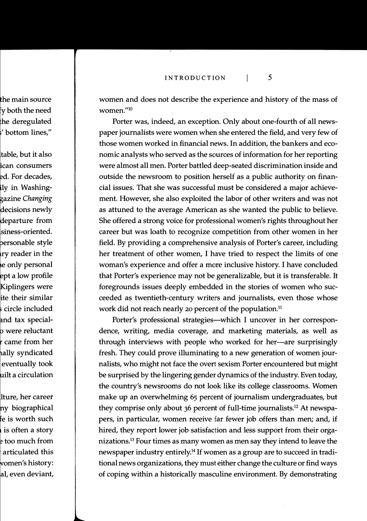women and does not describe the experience and history of the mass of women."10

Porter was, indeed, an exception. Only about one-fourth of all newspaper journalists were women when she entered the field, and very few of those women worked in financial news. In addition, the bankers and economic analysts who served as the sources of information for her reporting were almost all men. Porter battled deep-seated discrimination inside and outside the newsroom to position herself as a public authority on financial issues. That she was successful must be considered a major achievement. However, she also exploited the labor of other writers and was not as attuned to the average American as she wanted the public to believe. She offered a strong voice for professional women's rights throughout her career but was loath to recognize competition from other women in her field. By providing a comprehensive analysis of Porter's career, including her treatment of other women, I have tried to respect the limits of one woman's experience and offer a more inclusive history. I have concluded that Porter's experience may not be generalizable, but it is transferable. It foregrounds issues deeply embedded in the stories of women who succeeded as twentieth-century writers and journalists, even those whose work did not reach nearly 20 percent of the population.<sup>11</sup>

Porter's professional strategies-which I uncover in her correspondence, writing, media coverage, and marketing materials, as well as through interviews with people who worked for her-are surprisingly fresh. They could prove illuminating to a new generation of women journalists, who might not face the overt sexism Porter encountered but might be surprised by the lingering gender dynamics of the industry. Even today, the country's newsrooms do not look like its college classrooms. Women make up an overwhelming 65 percent of journalism undergraduates, but they comprise only about 36 percent of full-time journalists.<sup>12</sup> At newspapers, in particular, women receive far fewer job offers than men; and, if hired, they report lower job satisfaction and less support from their organizations.<sup>13</sup> Four times as many women as men say they intend to leave the newspaper industry entirely.14 If women as a group are to succeed in traditional news organizations, they must either change the culture or find ways of coping within a historically masculine environment. By demonstrating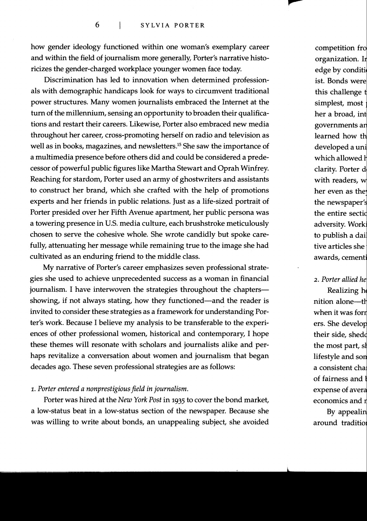6 SYLVIA PORTER

how gender ideology functioned within one woman's exemplary career and within the field of journalism more generally, Porter's narrative historicizes the gender-charged workplace younger women face today.

Discrimination has led to innovation when determined professionals with demographic handicaps look for ways to circumvent traditional power structures. Many women journalists embraced the Internet at the turn of the millennium, sensing an opportunity to broaden their qualifications and restart their careers. Likewise, Porter also embraced new media throughout her career, cross-promoting herself on radio and television as well as in books, magazines, and newsletters.15 She saw the importance of a multimedia presence before others did and could be considered a predecessor of powerful public figures like Martha Stewart and Oprah Winfrey. Reaching for stardom, Porter used an army of ghostwriters and assistants to construct her brand, which she crafted with the help of promotions experts and her friends in public relations. Just as a life-sized portrait of Porter presided over her Fifth Avenue apartment, her public persona was a towering presence in U.S. media culture, each brushstroke meticulously chosen to serve the cohesive whole. She wrote candidly but spoke carefully, attenuating her message while remaining true to the image she had cultivated as an enduring friend to the middle class.

My narrative of Porter's career emphasizes seven professional strategies she used to achieve unprecedented success as a woman in financial journalism. I have interwoven the strategies throughout the chaptersshowing, if not always stating, how they functioned-and the reader is invited to consider these strategies as a framework for understanding Porter's work. Because I believe my analysis to be transferable to the experiences of other professional women, historical and contemporary, I hope these themes will resonate with scholars and journalists alike and perhaps revitalize a conversation about women and journalism that began decades ago. These seven professional strategies are as follows:

### 1. *Porter entered a nonprestigious field in journalism.*

Porter was hired at the *New York Post* in 1935 to cover the bond market, a low-status beat in a low-status section of the newspaper. Because she was willing to write about bonds, an unappealing subject, she avoided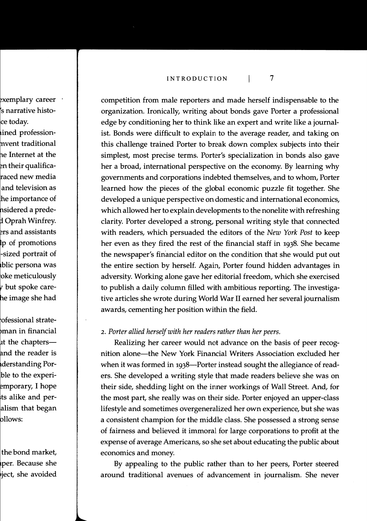competition from male reporters and made herself indispensable to the organization. Ironically, writing about bonds gave Porter a professional edge by conditioning her to think like an expert and write like a journalist. Bonds were difficult to explain to the average reader, and taking on this challenge trained Porter to break down complex subjects into their simplest, most precise terms. Porter's specialization in bonds also gave her a broad, international perspective on the economy. By learning why governments and corporations indebted themselves, and to whom, Porter learned how the pieces of the global economic puzzle fit together. She developed a unique perspective on domestic and international economics, which allowed her to explain developments to the nonelite with refreshing clarity. Porter developed a strong, personal writing style that connected with readers, which persuaded the editors of the *New York Post* to keep her even as they fired the rest of the financial staff in 1938. She became the newspaper's financial editor on the condition that she would put out the entire section by herself. Again, Porter found hidden advantages in adversity. Working alone gave her editorial freedom, which she exercised to publish a daily column filled with ambitious reporting. The investigative articles she wrote during World War II earned her several journalism awards, cementing her position within the field.

## 2. *Porter allied herself with her readers rather than her peers.*

Realizing her career would not advance on the basis of peer recognition alone-the New York Financial Writers Association excluded her when it was formed in 1938-Porter instead sought the allegiance of readers. She developed a writing style that made readers believe she was on their side, shedding light on the inner workings of Wall Street. And, for the most part, she really was on their side. Porter enjoyed an upper-class lifestyle and sometimes overgeneralized her own experience, but she was a consistent champion for the middle class. She possessed a strong sense of fairness and believed it immoral for large corporations to profit at the expense of average Americans, so she set about educating the public about economics and money.

By appealing to the public rather than to her peers, Porter steered around traditional avenues of advancement in journalism. She never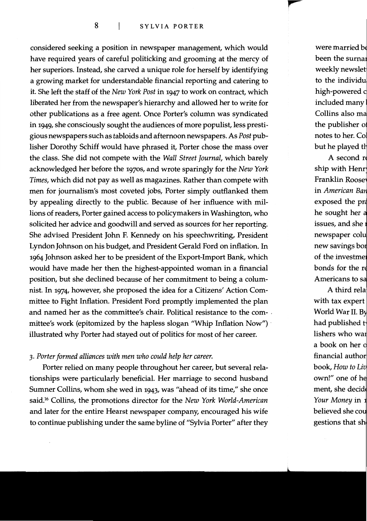considered seeking a position in newspaper management, which would have required years of careful politicking and grooming at the mercy of her superiors. Instead, she carved a unique role for herself by identifying a growing market for understandable financial reporting and catering to it. She left the staff of the *New York Post* in 1947 to work on contract, which liberated her from the newspaper's hierarchy and allowed her to write for other publications as a free agent. Once Porter's column was syndicated in 1949, she consciously sought the audiences of more populist, less prestigious newspapers such as tabloids and afternoon newspapers. As *Post* publisher Dorothy Schiff would have phrased it, Porter chose the mass over the class. She did not compete with the *Wall Street Journal,* which barely acknowledged her before the 1970s, and wrote sparingly for the *New York Times,* which did not pay as well as magazines. Rather than compete with men for journalism's most coveted jobs, Porter simply outflanked them by appealing directly to the public. Because of her influence with millions of readers, Porter gained access to policymakers in Washington, who solicited her advice and goodwill and served as sources for her reporting. She advised President John F. Kennedy on his speechwriting, President Lyndon Johnson on his budget, and President Gerald Ford on inflation. In 1964 Johnson asked her to be president of the Export-Import Bank, which would have made her then the highest-appointed woman in a financial position, but she declined because of her commitment to being a columnist. In 1974, however, she proposed the idea for a Citizens' Action Committee to Fight Inflation. President Ford promptly implemented the plan and named her as the committee's chair. Political resistance to the committee's work (epitomized by the hapless slogan "Whip Inflation Now")· illustrated why Porter had stayed out of politics for most of her career.

#### *3. Porter formed alliances with men who could help her career.*

Porter relied on many people throughout her career, but several relationships were particularly beneficial. Her marriage to second husband Sumner Collins, whom she wed in 1943, was "ahead of its time," she once said.16 Collins, the promotions director for the *New York World-American*  and later for the entire Hearst newspaper company, encouraged his wife to continue publishing under the same byline of "Sylvia Porter" after they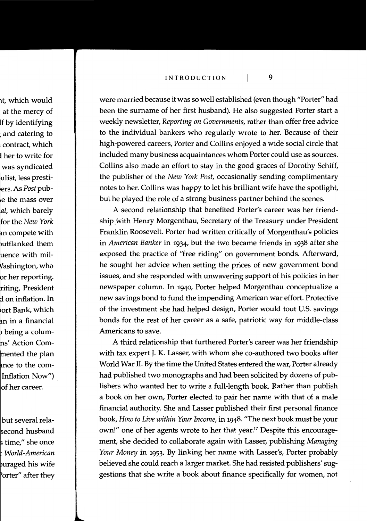were married because it was so well established (even though "Porter" had been the surname of her first husband). He also suggested Porter start a weekly newsletter, *Reporting on Governments,* rather than offer free advice to the individual bankers who regularly wrote to her. Because of their high-powered careers, Porter and Collins enjoyed a wide social circle that included many business acquaintances whom Porter could use as sources. Collins also made an effort to stay in the good graces of Dorothy Schiff, the publisher of the *New York Post,* occasionally sending complimentary notes to her. Collins was happy to let his brilliant wife have the spotlight, but he played the role of a strong business partner behind the scenes.

A second relationship that benefited Porter's career was her friendship with Henry Morgenthau, Secretary of the Treasury under President Franklin Roosevelt. Porter had written critically of Morgenthau's policies in *American Banker* in 1934, but the two became friends in 1938 after she exposed the practice of "free riding" on government bonds. Afterward, he sought her advice when setting the prices of new government bond issues, and she responded with unwavering support of his policies in her newspaper column. In 1940, Porter helped Morgenthau conceptualize a new savings bond to fund the impending American war effort. Protective of the investment she had helped design, Porter would tout U.S. savings bonds for the rest of her career as a safe, patriotic way for middle-class Americans to save.

A third relationship that furthered Porter's career was her friendship with tax expert J. K. Lasser, with whom she co-authored two books after World War II. By the time the United States entered the war, Porter already had published two monographs and had been solicited by dozens of publishers who wanted her to write a full-length book. Rather than publish a book on her own, Porter elected to pair her name with that of a male financial authority. She and Lasser published their first personal finance book, *How to Live within Your Income,* in 1948. "The next book must be your own!" one of her agents wrote to her that year.<sup>17</sup> Despite this encouragement, she decided to collaborate again with Lasser, publishing *Managing Your Money* in 1953. By linking her name with Lasser's, Porter probably believed she could reach a larger market. She had resisted publishers' suggestions that she write a book about finance specifically for women, not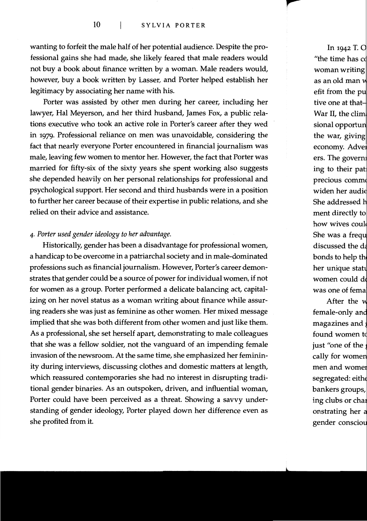10 SYLVIA PORTER

wanting to forfeit the male half of her potential audience. Despite the professional gains she had made, she likely feared that male readers would not buy a book about finance written by a woman. Male readers would, however, buy a book written by Lasser, and Porter helped establish her legitimacy by associating her name with his.

Porter was assisted by other men during her career, including her lawyer, Hal Meyerson, and her third husband, James Fox, a public relations executive who took an active role in Porter's career after they wed in 1979. Professional reliance on men was unavoidable, considering the fact that nearly everyone Porter encountered in financial journalism was male, leaving few women to mentor her. However, the fact that Porter was married for fifty-six of the sixty years she spent working also suggests she depended heavily on her personal relationships for professional and psychological support. Her second and third husbands were in a position to further her career because of their expertise in public relations, and she relied on their advice and assistance.

## *4· Porter used gender ideology to her advantage.*

Historically, gender has been a disadvantage for professional women, a handicap to be overcome in a patriarchal society and in male-dominated professions such as financial journalism. However, Porter's career demonstrates that gender could be a source of power for individual women, if not for women as a group. Porter performed a delicate balancing act, capitalizing on her novel status as a woman writing about finance while assuring readers she was just as feminine as other women. Her mixed message implied that she was both different from other women and just like them. As a professional, she set herself apart, demonstrating to male colleagues that she was a fellow soldier, not the vanguard of an impending female invasion of the newsroom. At the same time, she emphasized her femininity during interviews, discussing clothes and domestic matters at length, which reassured contemporaries she had no interest in disrupting traditional gender binaries. As an outspoken, driven, and influential woman, Porter could have been perceived as a threat. Showing a savvy understanding of gender ideology, Porter played down her difference even as she profited from it.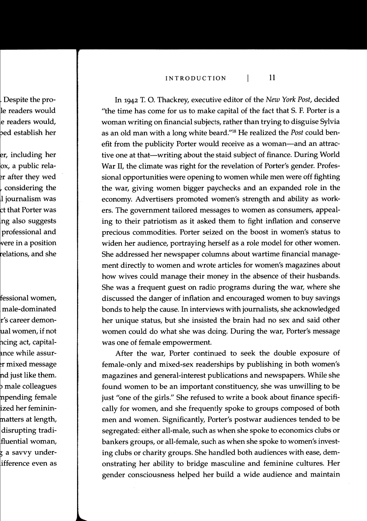In 1942 T. 0. Thackrey, executive editor of the *New York Post,* decided "the time has come for us to make capital of the fact that S. F. Porter is a woman writing on financial subjects, rather than trying to disguise Sylvia as an old man with a long white beard."18 He realized the *Post* could benefit from the publicity Porter would receive as a woman-and an attractive one at that-writing about the staid subject of finance. During World War II, the climate was right for the revelation of Porter's gender. Professional opportunities were opening to women while men were off fighting the war, giving women bigger paychecks and an expanded role in the economy. Advertisers promoted women's strength and ability as workers. The government tailored messages to women as consumers, appealing to their patriotism as it asked them to fight inflation and conserve precious commodities. Porter seized on the boost in women's status to widen her audience, portraying herself as a role model for other women. She addressed her newspaper columns about wartime financial management directly to women and wrote articles for women's magazines about how wives could manage their money in the absence of their husbands. She was a frequent guest on radio programs during the war, where she discussed the danger of inflation and encouraged women to buy savings bonds to help the cause. In interviews with journalists, she acknowledged her unique status, but she insisted the brain had no sex and said other women could do what she was doing. During the war, Porter's message was one of female empowerment.

After the war, Porter continued to seek the double exposure of female-only and mixed-sex readerships by publishing in both women's magazines and general-interest publications and newspapers. While she found women to be an important constituency, she was unwilling to be just "one of the girls." She refused to write a book about finance specifically for women, and she frequently spoke to groups composed of both men and women. Significantly, Porter's postwar audiences tended to be segregated: either all-male, such as when she spoke to economics clubs or bankers groups, or all-female, such as when she spoke to women's investing clubs or charity groups. She handled both audiences with ease, demonstrating her ability to bridge masculine and feminine cultures. Her gender consciousness helped her build a wide audience and maintain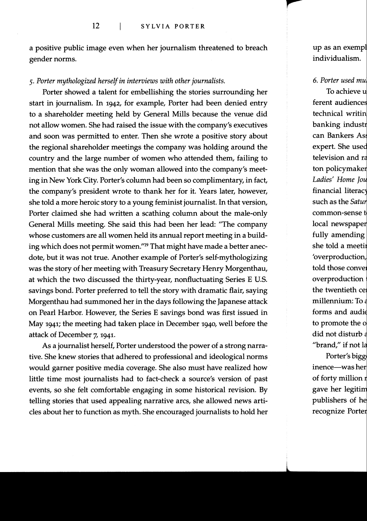a positive public image even when her journalism threatened to breach gender norms.

## 5· *Porter mythologized herself in interviews with other journalists.*

Porter showed a talent for embellishing the stories surrounding her start in journalism. In 1942, for example, Porter had been denied entry to a shareholder meeting held by General Mills because the venue did not allow women. She had raised the issue with the company's executives and soon was permitted to enter. Then she wrote a positive story about the regional shareholder meetings the company was holding around the country and the large number of women who attended them, failing to mention that she was the only woman allowed into the company's meeting in New York City. Porter's column had been so complimentary, in fact, the company's president wrote to thank her for it. Years later, however, she told a more heroic story to a young feminist journalist. In that version, Porter claimed she had written a scathing column about the male-only General Mills meeting. She said this had been her lead: "The company whose customers are all women held its annual report meeting in a building which does not permit women."19 That might have made a better anecdote, but it was not true. Another example of Porter's self-mythologizing was the story of her meeting with Treasury Secretary Henry Morgenthau, at which the two discussed the thirty-year, nonfluctuating Series E U.S. savings bond. Porter preferred to tell the story with dramatic flair, saying Morgenthau had summoned her in the days following the Japanese attack on Pearl Harbor. However, the Series E savings bond was first issued in May 1941; the meeting had taken place in December 1940, well before the attack of December 7, 1941.

As a journalist herself, Porter understood the power of a strong narrative. She knew stories that adhered to professional and ideological norms would garner positive media coverage. She also must have realized how little time most journalists had to fact-check a source's version of past events, so she felt comfortable engaging in some historical revision. By telling stories that used appealing narrative arcs, she allowed news articles about her to function as myth. She encouraged journalists to hold her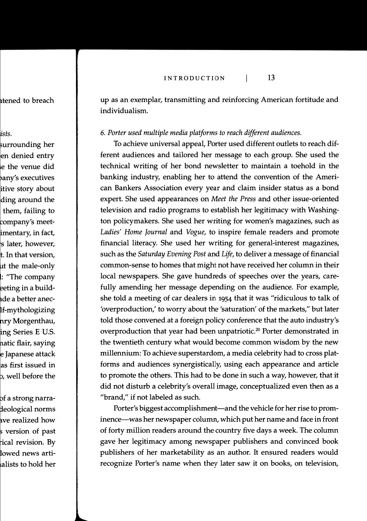up as an exemplar, transmitting and reinforcing American fortitude and individualism.

## *6. Porter used multiple media platforms to reach different audiences.*

To achieve universal appeal, Porter used different outlets to reach different audiences and tailored her message to each group. She used the technical writing of her bond newsletter to maintain a toehold in the banking industry, enabling her to attend the convention of the American Bankers Association every year and claim insider status as a bond expert. She used appearances on *Meet the Press* and other issue-oriented television and radio programs to establish her legitimacy with Washington policymakers. She used her writing for women's magazines, such as *Ladies' Home Journal* and *Vogue,* to inspire female readers and promote financial literacy. She used her writing for general-interest magazines, such as the *Saturday Evening Post* and *Life,* to deliver a message of financial common-sense to homes that might not have received her column in their local newspapers. She gave hundreds of speeches over the years, carefully amending her message depending on the audience. For example, she told a meeting of car dealers in 1954 that it was "ridiculous to talk of 'overproduction,' to worry about the 'saturation' of the markets," but later told those convened at a foreign policy conference that the auto industry's overproduction that year had been unpatriotic.20 Porter demonstrated in the twentieth century what would become common wisdom by the new millennium: To achieve superstardom, a media celebrity had to cross platforms and audiences synergistically, using each appearance and article to promote the others. This had to be done in such a way, however, that it did not disturb a celebrity's overall image, conceptualized even then as a "brand," if not labeled as such.

Porter's biggest accomplishment-and the vehicle for her rise to prominence-was her newspaper column, which put her name and face in front of forty million readers around the country five days a week. The column gave her legitimacy among newspaper publishers and convinced book publishers of her marketability as an author. It ensured readers would recognize Porter's name when they later saw it on books, on television,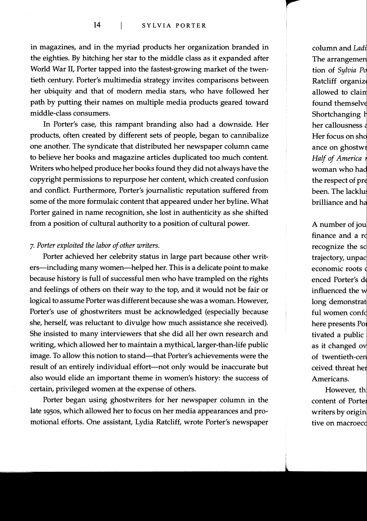in magazines, and in the myriad products her organization branded in the eighties. By hitching her star to the middle class as it expanded after World War II, Porter tapped into the fastest-growing market of the twentieth century. Porter's multimedia strategy invites comparisons between her ubiquity and that of modern media stars, who have followed her path by putting their names on multiple media products geared toward middle-class consumers.

In Porter's case, this rampant branding also had a downside. Her products, often created by different sets of people, began to cannibalize one another. The syndicate that distributed her newspaper column came to believe her books and magazine articles duplicated too much content. Writers who helped produce her books found they did not always have the copyright permissions to repurpose her content, which created confusion and conflict. Furthermore, Porter's journalistic reputation suffered from some of the more formulaic content that appeared under her byline. What Porter gained in name recognition, she lost in authenticity as she shifted from a position of cultural authority to a position of cultural power.

## 7- *Porter exploited the labor of other writers.*

Porter achieved her celebrity status in large part because other writers-including many women-helped her. This is a delicate point to make because history is full of successful men who have trampled on the rights and feelings of others on their way to the top, and it would not be fair or logical to assume Porter was different because she was a woman. However, Porter's use of ghostwriters must be acknowledged (especially because she, herself, was reluctant to divulge how much assistance she received). She insisted to many interviewers that she did all her own research and writing, which allowed her to maintain a mythical, larger-than-life public image. To allow this notion to stand--that Porter's achievements were the result of an entirely individual effort-not only would be inaccurate but also would elide an important theme in women's history: the success of certain, privileged women at the expense of others.

Porter began using ghostwriters for her newspaper column in the late 1950s, which allowed her to focus on her media appearances and promotional efforts. One assistant, Lydia Ratcliff, wrote Porter's newspaper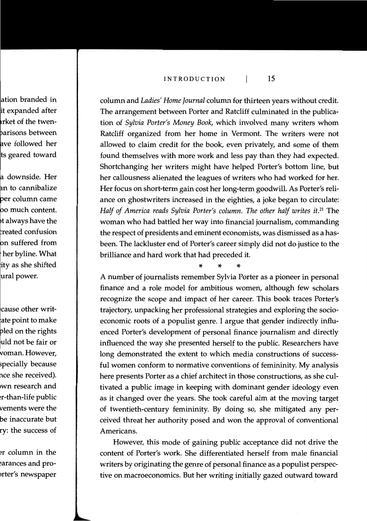column and *Ladies' Home Journal* column for thirteen years without credit. The arrangement between Porter and Ratcliff culminated in the publication of *Sylvia Porter's Money Book,* which involved many writers whom Ratcliff organized from her home in Vermont. The writers were not allowed to claim credit for the book, even privately, and some of them found themselves with more work and less pay than they had expected. Shortchanging her writers might have helped Porter's bottom line, but her callousness alienated the leagues of writers who had worked for her. Her focus on short-term gain cost her long-term goodwill. As Porter's reliance on ghostwriters increased in the eighties, a joke began to circulate: Half of America reads Sylvia Porter's column. The other half writes it.<sup>21</sup> The woman who had battled her way into financial journalism, commanding the respect of presidents and eminent economists, was dismissed as a hasbeen. The lackluster end of Porter's career simply did not do justice to the brilliance and hard work that had preceded it.

\* \* \*

A number of journalists remember Sylvia Porter as a pioneer in personal finance and a role model for ambitious women, although few scholars recognize the scope and impact of her career. This book traces Porter's trajectory, unpacking her professional strategies and exploring the socioeconomic roots of a populist genre. I argue that gender indirectly influenced Porter's development of personal finance journalism and directly influenced the way she presented herself to the public. Researchers have long demonstrated the extent to which media constructions of successful women conform to normative conventions of femininity. My analysis here presents Porter as a chief architect in those constructions, as she cultivated a public image in keeping with dominant gender ideology even as it changed over the years. She took careful aim at the moving target of twentieth-century femininity. By doing so, she mitigated any perceived threat her authority posed and won the approval of conventional Americans.

However, this mode of gaining public acceptance did not drive the content of Porter's work. She differentiated herself from male financial writers by originating the genre of personal finance as a populist perspective on macroeconomics. But her writing initially gazed outward toward